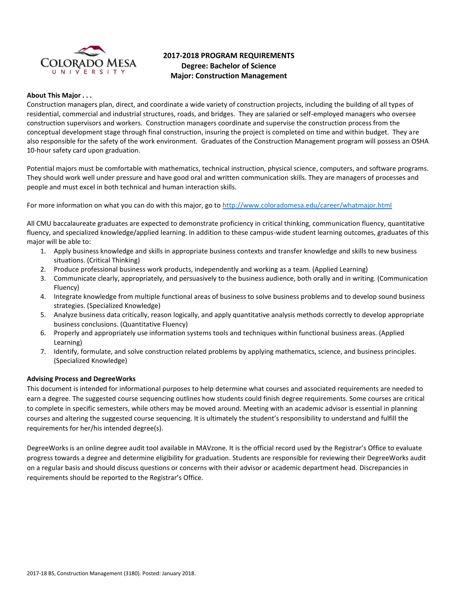

# **2017-2018 PROGRAM REQUIREMENTS Degree: Bachelor of Science Major: Construction Management**

#### **About This Major . . .**

Construction managers plan, direct, and coordinate a wide variety of construction projects, including the building of all types of residential, commercial and industrial structures, roads, and bridges. They are salaried or self-employed managers who oversee construction supervisors and workers. Construction managers coordinate and supervise the construction process from the conceptual development stage through final construction, insuring the project is completed on time and within budget. They are also responsible for the safety of the work environment. Graduates of the Construction Management program will possess an OSHA 10-hour safety card upon graduation.

Potential majors must be comfortable with mathematics, technical instruction, physical science, computers, and software programs. They should work well under pressure and have good oral and written communication skills. They are managers of processes and people and must excel in both technical and human interaction skills.

For more information on what you can do with this major, go t[o http://www.coloradomesa.edu/career/whatmajor.html](http://www.coloradomesa.edu/career/whatmajor.html)

All CMU baccalaureate graduates are expected to demonstrate proficiency in critical thinking, communication fluency, quantitative fluency, and specialized knowledge/applied learning. In addition to these campus-wide student learning outcomes, graduates of this major will be able to:

- 1. Apply business knowledge and skills in appropriate business contexts and transfer knowledge and skills to new business situations. (Critical Thinking)
- 2. Produce professional business work products, independently and working as a team. (Applied Learning)
- 3. Communicate clearly, appropriately, and persuasively to the business audience, both orally and in writing. (Communication Fluency)
- 4. Integrate knowledge from multiple functional areas of business to solve business problems and to develop sound business strategies. (Specialized Knowledge)
- 5. Analyze business data critically, reason logically, and apply quantitative analysis methods correctly to develop appropriate business conclusions. (Quantitative Fluency)
- 6. Properly and appropriately use information systems tools and techniques within functional business areas. (Applied Learning)
- 7. Identify, formulate, and solve construction related problems by applying mathematics, science, and business principles. (Specialized Knowledge)

### **Advising Process and DegreeWorks**

This document is intended for informational purposes to help determine what courses and associated requirements are needed to earn a degree. The suggested course sequencing outlines how students could finish degree requirements. Some courses are critical to complete in specific semesters, while others may be moved around. Meeting with an academic advisor is essential in planning courses and altering the suggested course sequencing. It is ultimately the student's responsibility to understand and fulfill the requirements for her/his intended degree(s).

DegreeWorks is an online degree audit tool available in MAVzone. It is the official record used by the Registrar's Office to evaluate progress towards a degree and determine eligibility for graduation. Students are responsible for reviewing their DegreeWorks audit on a regular basis and should discuss questions or concerns with their advisor or academic department head. Discrepancies in requirements should be reported to the Registrar's Office.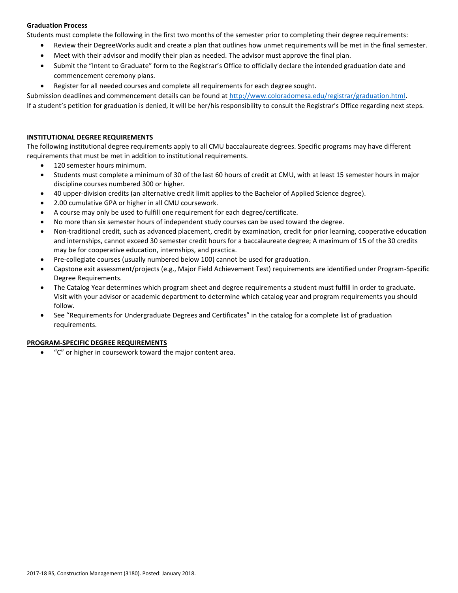# **Graduation Process**

Students must complete the following in the first two months of the semester prior to completing their degree requirements:

- Review their DegreeWorks audit and create a plan that outlines how unmet requirements will be met in the final semester.
- Meet with their advisor and modify their plan as needed. The advisor must approve the final plan.
- Submit the "Intent to Graduate" form to the Registrar's Office to officially declare the intended graduation date and commencement ceremony plans.
- Register for all needed courses and complete all requirements for each degree sought.

Submission deadlines and commencement details can be found at [http://www.coloradomesa.edu/registrar/graduation.html.](http://www.coloradomesa.edu/registrar/graduation.html)

If a student's petition for graduation is denied, it will be her/his responsibility to consult the Registrar's Office regarding next steps.

# **INSTITUTIONAL DEGREE REQUIREMENTS**

The following institutional degree requirements apply to all CMU baccalaureate degrees. Specific programs may have different requirements that must be met in addition to institutional requirements.

- 120 semester hours minimum.
- Students must complete a minimum of 30 of the last 60 hours of credit at CMU, with at least 15 semester hours in major discipline courses numbered 300 or higher.
- 40 upper-division credits (an alternative credit limit applies to the Bachelor of Applied Science degree).
- 2.00 cumulative GPA or higher in all CMU coursework.
- A course may only be used to fulfill one requirement for each degree/certificate.
- No more than six semester hours of independent study courses can be used toward the degree.
- Non-traditional credit, such as advanced placement, credit by examination, credit for prior learning, cooperative education and internships, cannot exceed 30 semester credit hours for a baccalaureate degree; A maximum of 15 of the 30 credits may be for cooperative education, internships, and practica.
- Pre-collegiate courses (usually numbered below 100) cannot be used for graduation.
- Capstone exit assessment/projects (e.g., Major Field Achievement Test) requirements are identified under Program-Specific Degree Requirements.
- The Catalog Year determines which program sheet and degree requirements a student must fulfill in order to graduate. Visit with your advisor or academic department to determine which catalog year and program requirements you should follow.
- See "Requirements for Undergraduate Degrees and Certificates" in the catalog for a complete list of graduation requirements.

# **PROGRAM-SPECIFIC DEGREE REQUIREMENTS**

"C" or higher in coursework toward the major content area.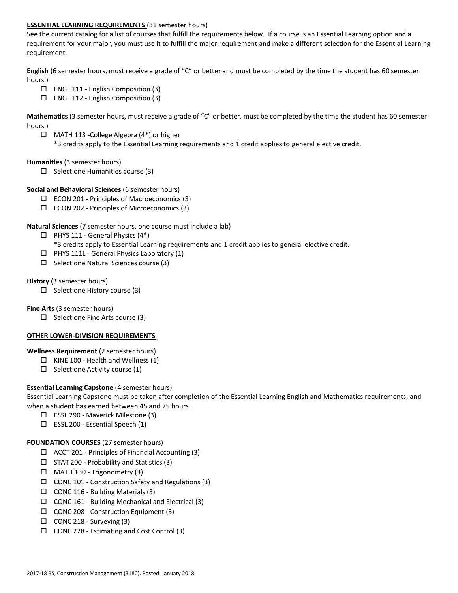# **ESSENTIAL LEARNING REQUIREMENTS** (31 semester hours)

See the current catalog for a list of courses that fulfill the requirements below. If a course is an Essential Learning option and a requirement for your major, you must use it to fulfill the major requirement and make a different selection for the Essential Learning requirement.

**English** (6 semester hours, must receive a grade of "C" or better and must be completed by the time the student has 60 semester hours.)

- $\Box$  ENGL 111 English Composition (3)
- $\Box$  ENGL 112 English Composition (3)

**Mathematics** (3 semester hours, must receive a grade of "C" or better, must be completed by the time the student has 60 semester hours.)

 MATH 113 -College Algebra (4\*) or higher \*3 credits apply to the Essential Learning requirements and 1 credit applies to general elective credit.

### **Humanities** (3 semester hours)

 $\Box$  Select one Humanities course (3)

## **Social and Behavioral Sciences** (6 semester hours)

- $\square$  ECON 201 Principles of Macroeconomics (3)
- $\square$  ECON 202 Principles of Microeconomics (3)

## **Natural Sciences** (7 semester hours, one course must include a lab)

- $\Box$  PHYS 111 General Physics (4\*)
	- \*3 credits apply to Essential Learning requirements and 1 credit applies to general elective credit.
- $\Box$  PHYS 111L General Physics Laboratory (1)
- $\square$  Select one Natural Sciences course (3)

## **History** (3 semester hours)

 $\Box$  Select one History course (3)

# **Fine Arts** (3 semester hours)

 $\Box$  Select one Fine Arts course (3)

### **OTHER LOWER-DIVISION REQUIREMENTS**

### **Wellness Requirement** (2 semester hours)

- $\Box$  KINE 100 Health and Wellness (1)
- $\Box$  Select one Activity course (1)

# **Essential Learning Capstone** (4 semester hours)

Essential Learning Capstone must be taken after completion of the Essential Learning English and Mathematics requirements, and when a student has earned between 45 and 75 hours.

- ESSL 290 Maverick Milestone (3)
- $\square$  ESSL 200 Essential Speech (1)

### **FOUNDATION COURSES** (27 semester hours)

- $\Box$  ACCT 201 Principles of Financial Accounting (3)
- $\Box$  STAT 200 Probability and Statistics (3)
- $\Box$  MATH 130 Trigonometry (3)
- CONC 101 Construction Safety and Regulations (3)
- $\Box$  CONC 116 Building Materials (3)
- $\Box$  CONC 161 Building Mechanical and Electrical (3)
- $\Box$  CONC 208 Construction Equipment (3)
- $\Box$  CONC 218 Surveying (3)
- CONC 228 Estimating and Cost Control (3)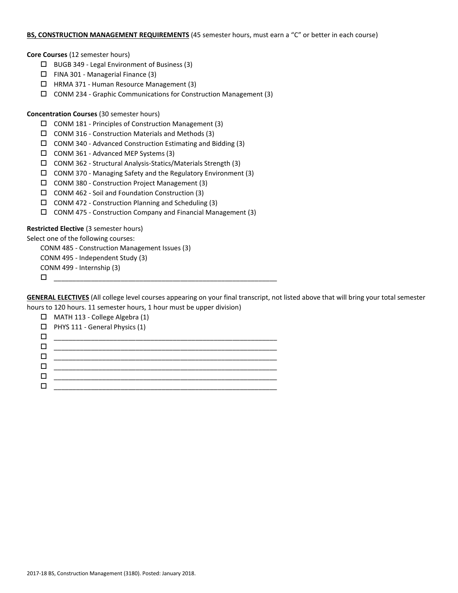### **BS, CONSTRUCTION MANAGEMENT REQUIREMENTS** (45 semester hours, must earn a "C" or better in each course)

**Core Courses** (12 semester hours)

- $\Box$  BUGB 349 Legal Environment of Business (3)
- FINA 301 Managerial Finance (3)
- $\Box$  HRMA 371 Human Resource Management (3)
- CONM 234 Graphic Communications for Construction Management (3)

# **Concentration Courses** (30 semester hours)

- CONM 181 Principles of Construction Management (3)
- $\Box$  CONM 316 Construction Materials and Methods (3)
- CONM 340 Advanced Construction Estimating and Bidding (3)
- $\Box$  CONM 361 Advanced MEP Systems (3)
- CONM 362 Structural Analysis-Statics/Materials Strength (3)
- CONM 370 Managing Safety and the Regulatory Environment (3)
- CONM 380 Construction Project Management (3)
- CONM 462 Soil and Foundation Construction (3)
- $\Box$  CONM 472 Construction Planning and Scheduling (3)
- CONM 475 Construction Company and Financial Management (3)

# **Restricted Elective** (3 semester hours)

Select one of the following courses:

CONM 485 - Construction Management Issues (3)

CONM 495 - Independent Study (3)

CONM 499 - Internship (3)

\_\_\_\_\_\_\_\_\_\_\_\_\_\_\_\_\_\_\_\_\_\_\_\_\_\_\_\_\_\_\_\_\_\_\_\_\_\_\_\_\_\_\_\_\_\_\_\_\_\_\_\_\_\_\_\_\_\_\_\_

**GENERAL ELECTIVES** (All college level courses appearing on your final transcript, not listed above that will bring your total semester hours to 120 hours. 11 semester hours, 1 hour must be upper division)